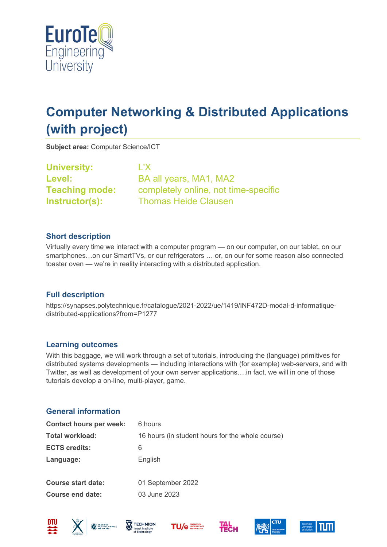

# **Computer Networking & Distributed Applications (with project)**

**Subject area:** Computer Science/ICT

**University:** L'X

Level: BA all years, MA1, MA2 **Teaching mode:** completely online, not time-specific **Instructor(s):** Thomas Heide Clausen

### **Short description**

Virtually every time we interact with a computer program — on our computer, on our tablet, on our smartphones…on our SmartTVs, or our refrigerators … or, on our for some reason also connected toaster oven — we're in reality interacting with a distributed application.

## **Full description**

https://synapses.polytechnique.fr/catalogue/2021-2022/ue/1419/INF472D-modal-d-informatiquedistributed-applications?from=P1277

#### **Learning outcomes**

With this baggage, we will work through a set of tutorials, introducing the (language) primitives for distributed systems developments — including interactions with (for example) web-servers, and with Twitter, as well as development of your own server applications….in fact, we will in one of those tutorials develop a on-line, multi-player, game.

#### **General information**

| <b>Contact hours per week:</b> | 6 hours                                          |
|--------------------------------|--------------------------------------------------|
| Total workload:                | 16 hours (in student hours for the whole course) |
| <b>ECTS credits:</b>           | 6                                                |
| Language:                      | English                                          |
|                                |                                                  |
| Course start date:             | 01 September 2022                                |
| Course end date:               | 03 June 2023                                     |
|                                |                                                  |









**HECH** 



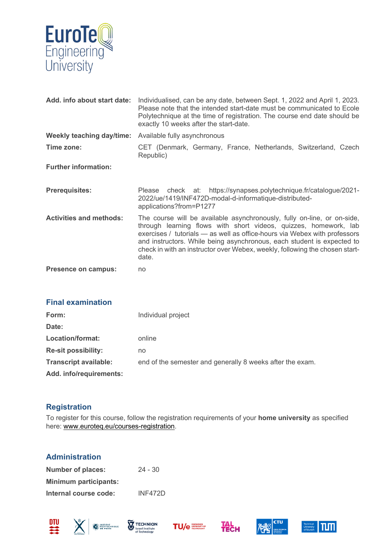

| Add. info about start date:      | Individualised, can be any date, between Sept. 1, 2022 and April 1, 2023.<br>Please note that the intended start-date must be communicated to Ecole<br>Polytechnique at the time of registration. The course end date should be<br>exactly 10 weeks after the start-date.                                                                                                                  |  |
|----------------------------------|--------------------------------------------------------------------------------------------------------------------------------------------------------------------------------------------------------------------------------------------------------------------------------------------------------------------------------------------------------------------------------------------|--|
| <b>Weekly teaching day/time:</b> | Available fully asynchronous                                                                                                                                                                                                                                                                                                                                                               |  |
| Time zone:                       | CET (Denmark, Germany, France, Netherlands, Switzerland, Czech<br>Republic)                                                                                                                                                                                                                                                                                                                |  |
| <b>Further information:</b>      |                                                                                                                                                                                                                                                                                                                                                                                            |  |
| <b>Prerequisites:</b>            | check at: https://synapses.polytechnique.fr/catalogue/2021-<br>Please<br>2022/ue/1419/INF472D-modal-d-informatique-distributed-<br>applications?from=P1277                                                                                                                                                                                                                                 |  |
| <b>Activities and methods:</b>   | The course will be available asynchronously, fully on-line, or on-side,<br>through learning flows with short videos, quizzes, homework, lab<br>exercises / tutorials - as well as office-hours via Webex with professors<br>and instructors. While being asynchronous, each student is expected to<br>check in with an instructor over Webex, weekly, following the chosen start-<br>date. |  |
| <b>Presence on campus:</b>       | no                                                                                                                                                                                                                                                                                                                                                                                         |  |

| <b>Final examination</b>     |                                                           |
|------------------------------|-----------------------------------------------------------|
| Form:                        | Individual project                                        |
| Date:                        |                                                           |
| Location/format:             | online                                                    |
| <b>Re-sit possibility:</b>   | no                                                        |
| <b>Transcript available:</b> | end of the semester and generally 8 weeks after the exam. |
| Add. info/requirements:      |                                                           |

## **Registration**

To register for this course, follow the registration requirements of your **home university** as specified here: [www.euroteq.eu/courses-registration.](http://www.euroteq.eu/courses-registration)

|  | <b>Administration</b> |
|--|-----------------------|
|--|-----------------------|

| <b>Number of places:</b>     | $24 - 30$      |
|------------------------------|----------------|
| <b>Minimum participants:</b> |                |
| Internal course code:        | <b>INF472D</b> |